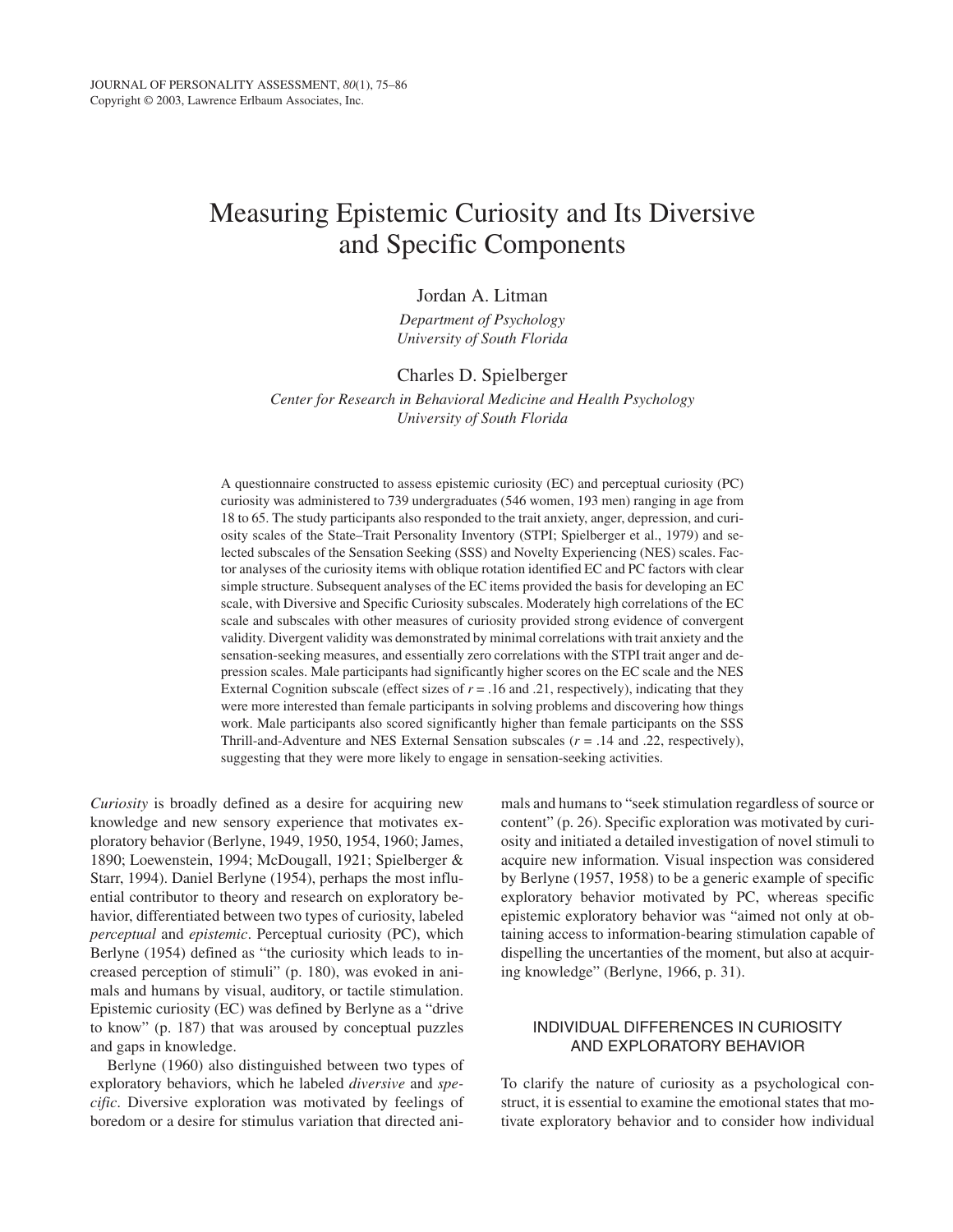# Measuring Epistemic Curiosity and Its Diversive and Specific Components

## Jordan A. Litman

*Department of Psychology University of South Florida*

## Charles D. Spielberger

*Center for Research in Behavioral Medicine and Health Psychology University of South Florida*

A questionnaire constructed to assess epistemic curiosity (EC) and perceptual curiosity (PC) curiosity was administered to 739 undergraduates (546 women, 193 men) ranging in age from 18 to 65. The study participants also responded to the trait anxiety, anger, depression, and curiosity scales of the State–Trait Personality Inventory (STPI; Spielberger et al., 1979) and selected subscales of the Sensation Seeking (SSS) and Novelty Experiencing (NES) scales. Factor analyses of the curiosity items with oblique rotation identified EC and PC factors with clear simple structure. Subsequent analyses of the EC items provided the basis for developing an EC scale, with Diversive and Specific Curiosity subscales. Moderately high correlations of the EC scale and subscales with other measures of curiosity provided strong evidence of convergent validity. Divergent validity was demonstrated by minimal correlations with trait anxiety and the sensation-seeking measures, and essentially zero correlations with the STPI trait anger and depression scales. Male participants had significantly higher scores on the EC scale and the NES External Cognition subscale (effect sizes of *r* = .16 and .21, respectively), indicating that they were more interested than female participants in solving problems and discovering how things work. Male participants also scored significantly higher than female participants on the SSS Thrill-and-Adventure and NES External Sensation subscales (*r* = .14 and .22, respectively), suggesting that they were more likely to engage in sensation-seeking activities.

*Curiosity* is broadly defined as a desire for acquiring new knowledge and new sensory experience that motivates exploratory behavior (Berlyne, 1949, 1950, 1954, 1960; James, 1890; Loewenstein, 1994; McDougall, 1921; Spielberger & Starr, 1994). Daniel Berlyne (1954), perhaps the most influential contributor to theory and research on exploratory behavior, differentiated between two types of curiosity, labeled *perceptual* and *epistemic*. Perceptual curiosity (PC), which Berlyne (1954) defined as "the curiosity which leads to increased perception of stimuli" (p. 180), was evoked in animals and humans by visual, auditory, or tactile stimulation. Epistemic curiosity (EC) was defined by Berlyne as a "drive to know" (p. 187) that was aroused by conceptual puzzles and gaps in knowledge.

Berlyne (1960) also distinguished between two types of exploratory behaviors, which he labeled *diversive* and *specific*. Diversive exploration was motivated by feelings of boredom or a desire for stimulus variation that directed ani-

mals and humans to "seek stimulation regardless of source or content" (p. 26). Specific exploration was motivated by curiosity and initiated a detailed investigation of novel stimuli to acquire new information. Visual inspection was considered by Berlyne (1957, 1958) to be a generic example of specific exploratory behavior motivated by PC, whereas specific epistemic exploratory behavior was "aimed not only at obtaining access to information-bearing stimulation capable of dispelling the uncertanties of the moment, but also at acquiring knowledge" (Berlyne, 1966, p. 31).

## INDIVIDUAL DIFFERENCES IN CURIOSITY AND EXPLORATORY BEHAVIOR

To clarify the nature of curiosity as a psychological construct, it is essential to examine the emotional states that motivate exploratory behavior and to consider how individual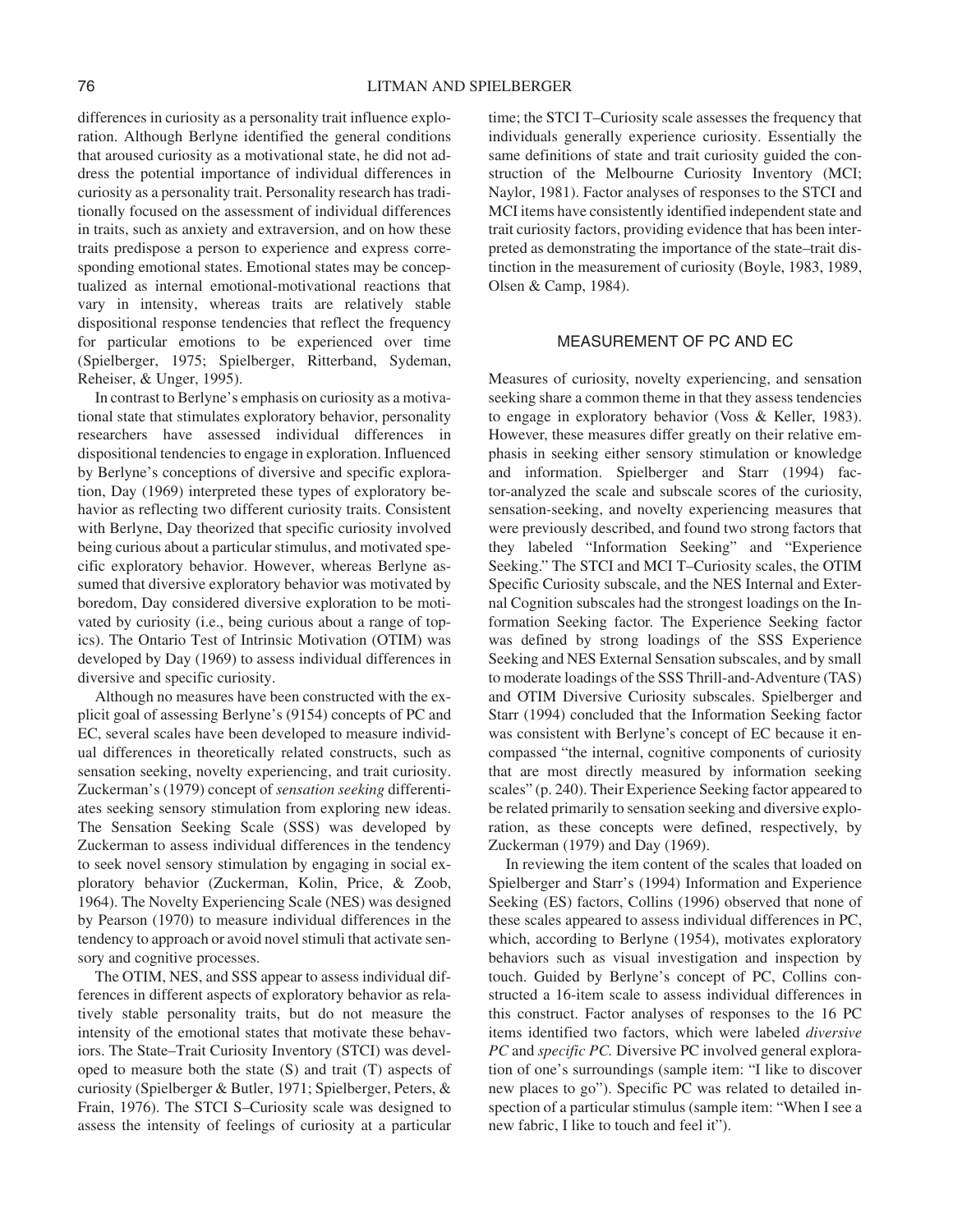differences in curiosity as a personality trait influence exploration. Although Berlyne identified the general conditions that aroused curiosity as a motivational state, he did not address the potential importance of individual differences in curiosity as a personality trait. Personality research has traditionally focused on the assessment of individual differences in traits, such as anxiety and extraversion, and on how these traits predispose a person to experience and express corresponding emotional states. Emotional states may be conceptualized as internal emotional-motivational reactions that vary in intensity, whereas traits are relatively stable dispositional response tendencies that reflect the frequency for particular emotions to be experienced over time (Spielberger, 1975; Spielberger, Ritterband, Sydeman, Reheiser, & Unger, 1995).

In contrast to Berlyne's emphasis on curiosity as a motivational state that stimulates exploratory behavior, personality researchers have assessed individual differences in dispositional tendencies to engage in exploration. Influenced by Berlyne's conceptions of diversive and specific exploration, Day (1969) interpreted these types of exploratory behavior as reflecting two different curiosity traits. Consistent with Berlyne, Day theorized that specific curiosity involved being curious about a particular stimulus, and motivated specific exploratory behavior. However, whereas Berlyne assumed that diversive exploratory behavior was motivated by boredom, Day considered diversive exploration to be motivated by curiosity (i.e., being curious about a range of topics). The Ontario Test of Intrinsic Motivation (OTIM) was developed by Day (1969) to assess individual differences in diversive and specific curiosity.

Although no measures have been constructed with the explicit goal of assessing Berlyne's (9154) concepts of PC and EC, several scales have been developed to measure individual differences in theoretically related constructs, such as sensation seeking, novelty experiencing, and trait curiosity. Zuckerman's (1979) concept of *sensation seeking* differentiates seeking sensory stimulation from exploring new ideas. The Sensation Seeking Scale (SSS) was developed by Zuckerman to assess individual differences in the tendency to seek novel sensory stimulation by engaging in social exploratory behavior (Zuckerman, Kolin, Price, & Zoob, 1964). The Novelty Experiencing Scale (NES) was designed by Pearson (1970) to measure individual differences in the tendency to approach or avoid novel stimuli that activate sensory and cognitive processes.

The OTIM, NES, and SSS appear to assess individual differences in different aspects of exploratory behavior as relatively stable personality traits, but do not measure the intensity of the emotional states that motivate these behaviors. The State–Trait Curiosity Inventory (STCI) was developed to measure both the state (S) and trait (T) aspects of curiosity (Spielberger & Butler, 1971; Spielberger, Peters, & Frain, 1976). The STCI S–Curiosity scale was designed to assess the intensity of feelings of curiosity at a particular

time; the STCI T–Curiosity scale assesses the frequency that individuals generally experience curiosity. Essentially the same definitions of state and trait curiosity guided the construction of the Melbourne Curiosity Inventory (MCI; Naylor, 1981). Factor analyses of responses to the STCI and MCI items have consistently identified independent state and trait curiosity factors, providing evidence that has been interpreted as demonstrating the importance of the state–trait distinction in the measurement of curiosity (Boyle, 1983, 1989, Olsen & Camp, 1984).

#### MEASUREMENT OF PC AND EC

Measures of curiosity, novelty experiencing, and sensation seeking share a common theme in that they assess tendencies to engage in exploratory behavior (Voss & Keller, 1983). However, these measures differ greatly on their relative emphasis in seeking either sensory stimulation or knowledge and information. Spielberger and Starr (1994) factor-analyzed the scale and subscale scores of the curiosity, sensation-seeking, and novelty experiencing measures that were previously described, and found two strong factors that they labeled "Information Seeking" and "Experience Seeking." The STCI and MCI T–Curiosity scales, the OTIM Specific Curiosity subscale, and the NES Internal and External Cognition subscales had the strongest loadings on the Information Seeking factor. The Experience Seeking factor was defined by strong loadings of the SSS Experience Seeking and NES External Sensation subscales, and by small to moderate loadings of the SSS Thrill-and-Adventure (TAS) and OTIM Diversive Curiosity subscales. Spielberger and Starr (1994) concluded that the Information Seeking factor was consistent with Berlyne's concept of EC because it encompassed "the internal, cognitive components of curiosity that are most directly measured by information seeking scales" (p. 240). Their Experience Seeking factor appeared to be related primarily to sensation seeking and diversive exploration, as these concepts were defined, respectively, by Zuckerman (1979) and Day (1969).

In reviewing the item content of the scales that loaded on Spielberger and Starr's (1994) Information and Experience Seeking (ES) factors, Collins (1996) observed that none of these scales appeared to assess individual differences in PC, which, according to Berlyne (1954), motivates exploratory behaviors such as visual investigation and inspection by touch. Guided by Berlyne's concept of PC, Collins constructed a 16-item scale to assess individual differences in this construct. Factor analyses of responses to the 16 PC items identified two factors, which were labeled *diversive PC* and *specific PC.* Diversive PC involved general exploration of one's surroundings (sample item: "I like to discover new places to go"). Specific PC was related to detailed inspection of a particular stimulus (sample item: "When I see a new fabric, I like to touch and feel it").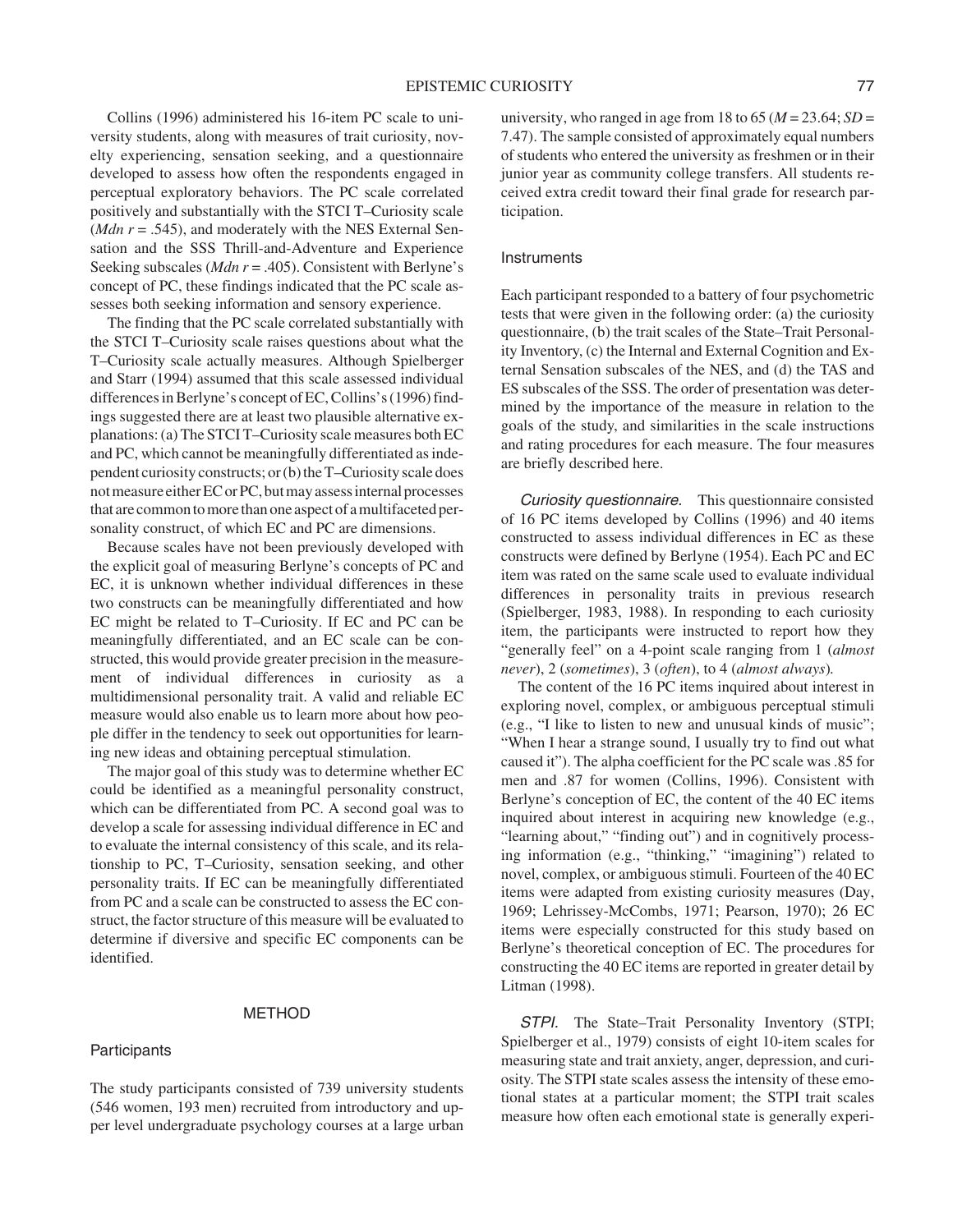Collins (1996) administered his 16-item PC scale to university students, along with measures of trait curiosity, novelty experiencing, sensation seeking, and a questionnaire developed to assess how often the respondents engaged in perceptual exploratory behaviors. The PC scale correlated positively and substantially with the STCI T–Curiosity scale (*Mdn r* = .545), and moderately with the NES External Sensation and the SSS Thrill-and-Adventure and Experience Seeking subscales (*Mdn r* = .405). Consistent with Berlyne's concept of PC, these findings indicated that the PC scale assesses both seeking information and sensory experience.

The finding that the PC scale correlated substantially with the STCI T–Curiosity scale raises questions about what the T–Curiosity scale actually measures. Although Spielberger and Starr (1994) assumed that this scale assessed individual differences in Berlyne's concept of EC, Collins's (1996) findings suggested there are at least two plausible alternative explanations: (a) The STCI T–Curiosity scale measures both EC and PC, which cannot be meaningfully differentiated as independent curiosity constructs; or (b) the T–Curiosity scale does not measure either EC or PC, but may assess internal processes that are common to more than one aspect of a multifaceted personality construct, of which EC and PC are dimensions.

Because scales have not been previously developed with the explicit goal of measuring Berlyne's concepts of PC and EC, it is unknown whether individual differences in these two constructs can be meaningfully differentiated and how EC might be related to T–Curiosity. If EC and PC can be meaningfully differentiated, and an EC scale can be constructed, this would provide greater precision in the measurement of individual differences in curiosity as a multidimensional personality trait. A valid and reliable EC measure would also enable us to learn more about how people differ in the tendency to seek out opportunities for learning new ideas and obtaining perceptual stimulation.

The major goal of this study was to determine whether EC could be identified as a meaningful personality construct, which can be differentiated from PC. A second goal was to develop a scale for assessing individual difference in EC and to evaluate the internal consistency of this scale, and its relationship to PC, T–Curiosity, sensation seeking, and other personality traits. If EC can be meaningfully differentiated from PC and a scale can be constructed to assess the EC construct, the factor structure of this measure will be evaluated to determine if diversive and specific EC components can be identified.

#### METHOD

#### **Participants**

The study participants consisted of 739 university students (546 women, 193 men) recruited from introductory and upper level undergraduate psychology courses at a large urban

university, who ranged in age from 18 to  $65 (M = 23.64; SD =$ 7.47). The sample consisted of approximately equal numbers of students who entered the university as freshmen or in their junior year as community college transfers. All students received extra credit toward their final grade for research participation.

#### **Instruments**

Each participant responded to a battery of four psychometric tests that were given in the following order: (a) the curiosity questionnaire, (b) the trait scales of the State–Trait Personality Inventory, (c) the Internal and External Cognition and External Sensation subscales of the NES, and (d) the TAS and ES subscales of the SSS. The order of presentation was determined by the importance of the measure in relation to the goals of the study, and similarities in the scale instructions and rating procedures for each measure. The four measures are briefly described here.

Curiosity questionnaire. This questionnaire consisted of 16 PC items developed by Collins (1996) and 40 items constructed to assess individual differences in EC as these constructs were defined by Berlyne (1954). Each PC and EC item was rated on the same scale used to evaluate individual differences in personality traits in previous research (Spielberger, 1983, 1988). In responding to each curiosity item, the participants were instructed to report how they "generally feel" on a 4-point scale ranging from 1 (*almost never*), 2 (*sometimes*), 3 (*often*), to 4 (*almost always*)*.*

The content of the 16 PC items inquired about interest in exploring novel, complex, or ambiguous perceptual stimuli (e.g., "I like to listen to new and unusual kinds of music"; "When I hear a strange sound, I usually try to find out what caused it"). The alpha coefficient for the PC scale was .85 for men and .87 for women (Collins, 1996). Consistent with Berlyne's conception of EC, the content of the 40 EC items inquired about interest in acquiring new knowledge (e.g., "learning about," "finding out") and in cognitively processing information (e.g., "thinking," "imagining") related to novel, complex, or ambiguous stimuli. Fourteen of the 40 EC items were adapted from existing curiosity measures (Day, 1969; Lehrissey-McCombs, 1971; Pearson, 1970); 26 EC items were especially constructed for this study based on Berlyne's theoretical conception of EC. The procedures for constructing the 40 EC items are reported in greater detail by Litman (1998).

STPI. The State–Trait Personality Inventory (STPI; Spielberger et al., 1979) consists of eight 10-item scales for measuring state and trait anxiety, anger, depression, and curiosity. The STPI state scales assess the intensity of these emotional states at a particular moment; the STPI trait scales measure how often each emotional state is generally experi-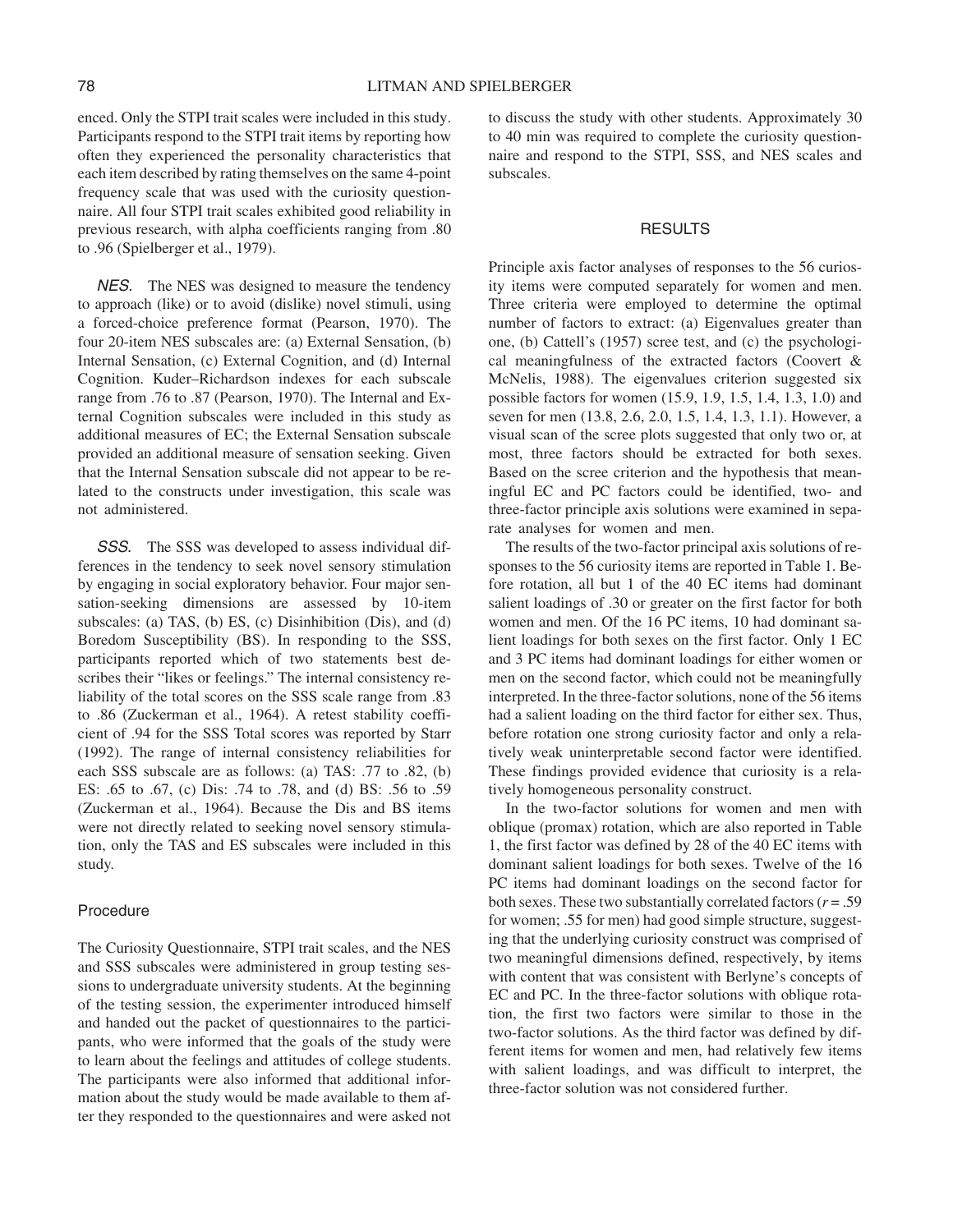enced. Only the STPI trait scales were included in this study. Participants respond to the STPI trait items by reporting how often they experienced the personality characteristics that each item described by rating themselves on the same 4-point frequency scale that was used with the curiosity questionnaire. All four STPI trait scales exhibited good reliability in previous research, with alpha coefficients ranging from .80 to .96 (Spielberger et al., 1979).

NES. The NES was designed to measure the tendency to approach (like) or to avoid (dislike) novel stimuli, using a forced-choice preference format (Pearson, 1970). The four 20-item NES subscales are: (a) External Sensation, (b) Internal Sensation, (c) External Cognition, and (d) Internal Cognition. Kuder–Richardson indexes for each subscale range from .76 to .87 (Pearson, 1970). The Internal and External Cognition subscales were included in this study as additional measures of EC; the External Sensation subscale provided an additional measure of sensation seeking. Given that the Internal Sensation subscale did not appear to be related to the constructs under investigation, this scale was not administered.

SSS. The SSS was developed to assess individual differences in the tendency to seek novel sensory stimulation by engaging in social exploratory behavior. Four major sensation-seeking dimensions are assessed by 10-item subscales: (a) TAS, (b) ES, (c) Disinhibition (Dis), and (d) Boredom Susceptibility (BS). In responding to the SSS, participants reported which of two statements best describes their "likes or feelings." The internal consistency reliability of the total scores on the SSS scale range from .83 to .86 (Zuckerman et al., 1964). A retest stability coefficient of .94 for the SSS Total scores was reported by Starr (1992). The range of internal consistency reliabilities for each SSS subscale are as follows: (a) TAS: .77 to .82, (b) ES: .65 to .67, (c) Dis: .74 to .78, and (d) BS: .56 to .59 (Zuckerman et al., 1964). Because the Dis and BS items were not directly related to seeking novel sensory stimulation, only the TAS and ES subscales were included in this study.

#### Procedure

The Curiosity Questionnaire, STPI trait scales, and the NES and SSS subscales were administered in group testing sessions to undergraduate university students. At the beginning of the testing session, the experimenter introduced himself and handed out the packet of questionnaires to the participants, who were informed that the goals of the study were to learn about the feelings and attitudes of college students. The participants were also informed that additional information about the study would be made available to them after they responded to the questionnaires and were asked not to discuss the study with other students. Approximately 30 to 40 min was required to complete the curiosity questionnaire and respond to the STPI, SSS, and NES scales and subscales.

#### **RESULTS**

Principle axis factor analyses of responses to the 56 curiosity items were computed separately for women and men. Three criteria were employed to determine the optimal number of factors to extract: (a) Eigenvalues greater than one, (b) Cattell's (1957) scree test, and (c) the psychological meaningfulness of the extracted factors (Coovert & McNelis, 1988). The eigenvalues criterion suggested six possible factors for women (15.9, 1.9, 1.5, 1.4, 1.3, 1.0) and seven for men (13.8, 2.6, 2.0, 1.5, 1.4, 1.3, 1.1). However, a visual scan of the scree plots suggested that only two or, at most, three factors should be extracted for both sexes. Based on the scree criterion and the hypothesis that meaningful EC and PC factors could be identified, two- and three-factor principle axis solutions were examined in separate analyses for women and men.

The results of the two-factor principal axis solutions of responses to the 56 curiosity items are reported in Table 1. Before rotation, all but 1 of the 40 EC items had dominant salient loadings of .30 or greater on the first factor for both women and men. Of the 16 PC items, 10 had dominant salient loadings for both sexes on the first factor. Only 1 EC and 3 PC items had dominant loadings for either women or men on the second factor, which could not be meaningfully interpreted. In the three-factor solutions, none of the 56 items had a salient loading on the third factor for either sex. Thus, before rotation one strong curiosity factor and only a relatively weak uninterpretable second factor were identified. These findings provided evidence that curiosity is a relatively homogeneous personality construct.

In the two-factor solutions for women and men with oblique (promax) rotation, which are also reported in Table 1, the first factor was defined by 28 of the 40 EC items with dominant salient loadings for both sexes. Twelve of the 16 PC items had dominant loadings on the second factor for both sexes. These two substantially correlated factors (*r* = .59 for women; .55 for men) had good simple structure, suggesting that the underlying curiosity construct was comprised of two meaningful dimensions defined, respectively, by items with content that was consistent with Berlyne's concepts of EC and PC. In the three-factor solutions with oblique rotation, the first two factors were similar to those in the two-factor solutions. As the third factor was defined by different items for women and men, had relatively few items with salient loadings, and was difficult to interpret, the three-factor solution was not considered further.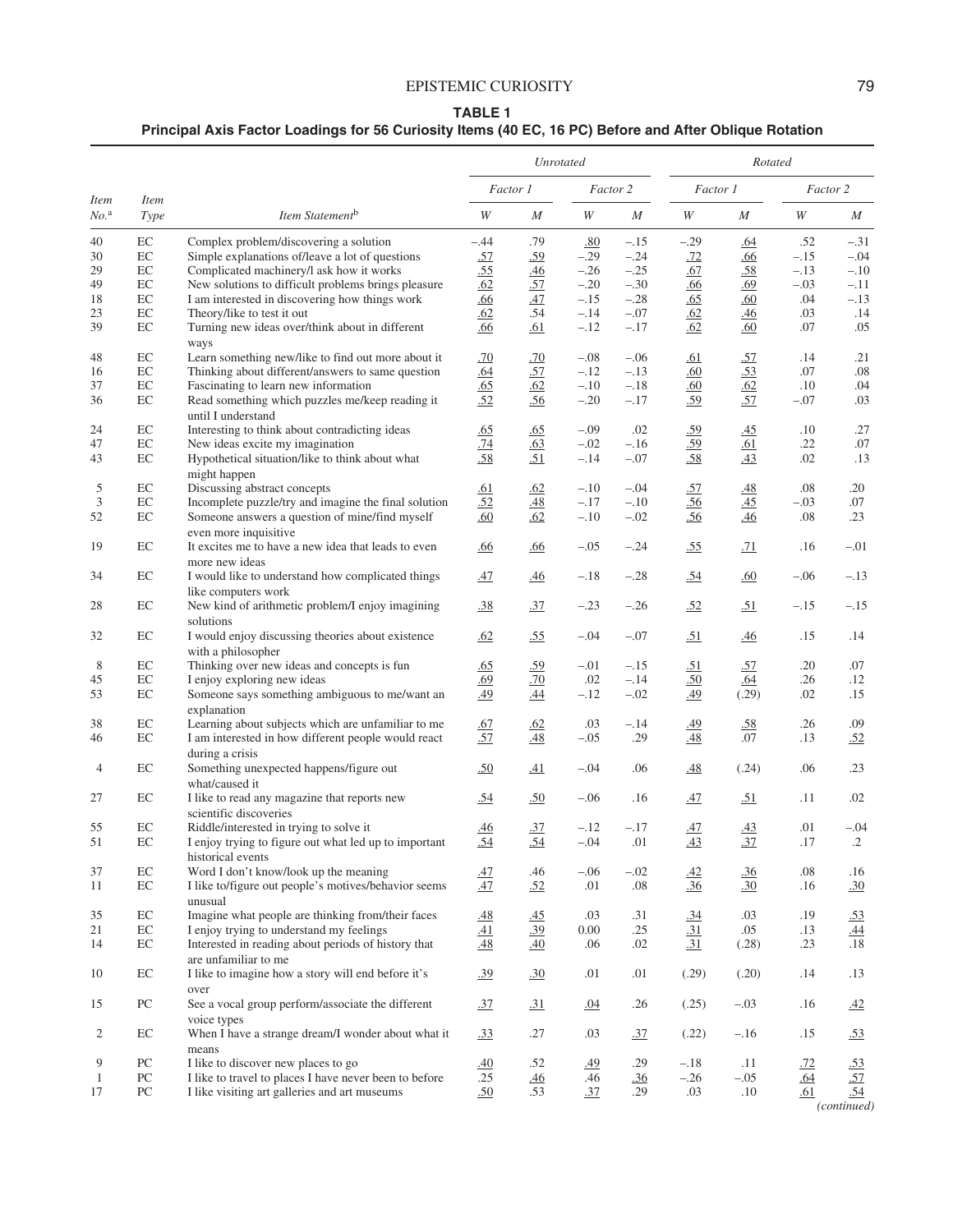## EPISTEMIC CURIOSITY 79

## **TABLE 1**

## **Principal Axis Factor Loadings for 56 Curiosity Items (40 EC, 16 PC) Before and After Oblique Rotation**

|                                   |                     |                                                                          | Unrotated  |            |            | Rotated |            |            |            |                    |
|-----------------------------------|---------------------|--------------------------------------------------------------------------|------------|------------|------------|---------|------------|------------|------------|--------------------|
|                                   |                     |                                                                          |            | Factor 1   | Factor 2   |         | Factor 1   |            | Factor 2   |                    |
| <i>Item</i><br>$No.$ <sup>a</sup> | <i>Item</i><br>Type | Item Statement <sup>b</sup>                                              | W          | М          | W          | M       | W          | M          | W          | M                  |
| 40                                | EС                  | Complex problem/discovering a solution                                   | $-.44$     | .79        | .80        | $-.15$  | $-.29$     | .64        | .52        | $-.31$             |
| 30                                | EC                  | Simple explanations of/leave a lot of questions                          | .57        | .59        | $-.29$     | $-.24$  | .72        | .66        | $-.15$     | $-.04$             |
| 29                                | EС                  | Complicated machinery/l ask how it works                                 | .55        | .46        | $-.26$     | $-.25$  | .67        | .58        | $-.13$     | $-.10$             |
| 49                                | EС                  | New solutions to difficult problems brings pleasure                      | .62        | .57        | $-.20$     | $-.30$  | .66        | .69        | $-.03$     | $-.11$             |
| 18                                | EC                  | I am interested in discovering how things work                           | .66        | .47        | $-.15$     | $-.28$  | .65        | .60        | .04        | $-.13$             |
| 23                                | $\rm EC$            | Theory/like to test it out                                               | .62        | .54        | $-.14$     | $-.07$  | .62        | .46        | .03        | .14                |
| 39                                | EC                  | Turning new ideas over/think about in different<br>ways                  | <u>.66</u> | .61        | $-.12$     | $-.17$  | <u>.62</u> | .60        | .07        | .05                |
| 48                                | $\rm EC$            | Learn something new/like to find out more about it                       | .70        | .70        | $-.08$     | $-.06$  | .61        | .57        | .14        | .21                |
| 16                                | $\rm EC$            | Thinking about different/answers to same question                        | .64        | .57        | $-.12$     | $-.13$  | .60        | .53        | .07        | .08                |
| 37                                | $\rm EC$            | Fascinating to learn new information                                     | .65        | .62        | $-.10$     | $-.18$  | .60        | .62        | .10        | .04                |
| 36                                | $\rm EC$            | Read something which puzzles me/keep reading it                          | .52        | .56        | $-.20$     | $-.17$  | .59        | .57        | $-.07$     | .03                |
|                                   |                     | until I understand                                                       |            |            |            |         |            |            |            |                    |
| 24                                | EC                  | Interesting to think about contradicting ideas                           | .65        | .65        | $-.09$     | .02     | .59        | .45        | .10        | .27                |
| 47                                | $\rm EC$            | New ideas excite my imagination                                          | .74        | .63        | $-.02$     | $-.16$  | .59        | .61        | .22        | .07                |
| 43                                | EC                  | Hypothetical situation/like to think about what<br>might happen          | .58        | .51        | $-.14$     | $-.07$  | .58        | .43        | .02        | .13                |
| 5                                 | $\rm EC$            | Discussing abstract concepts                                             | <u>.61</u> | .62        | $-.10$     | $-.04$  | .57        | .48        | .08        | .20                |
| 3                                 | $\rm EC$            | Incomplete puzzle/try and imagine the final solution                     | .52        | .48        | $-.17$     | $-.10$  | .56        | .45        | $-.03$     | .07                |
| 52                                | $\rm EC$            | Someone answers a question of mine/find myself                           | .60        | .62        | $-.10$     | $-.02$  | .56        | .46        | .08        | .23                |
|                                   |                     | even more inquisitive                                                    |            |            |            |         |            |            |            |                    |
| 19                                | $\rm EC$            | It excites me to have a new idea that leads to even<br>more new ideas    | <u>.66</u> | <u>.66</u> | $-.05$     | $-.24$  | .55        | .71        | .16        | $-.01$             |
| 34                                | EC                  | I would like to understand how complicated things<br>like computers work | .47        | <u>.46</u> | $-.18$     | $-.28$  | .54        | .60        | $-.06$     | $-.13$             |
| 28                                | EC                  | New kind of arithmetic problem/I enjoy imagining<br>solutions            | .38        | .37        | $-.23$     | $-.26$  | .52        | .51        | $-.15$     | $-.15$             |
| 32                                | $\rm EC$            | I would enjoy discussing theories about existence<br>with a philosopher  | <u>.62</u> | .55        | $-.04$     | $-.07$  | .51        | <u>.46</u> | .15        | .14                |
| 8                                 | $\rm EC$            | Thinking over new ideas and concepts is fun                              | .65        | .59        | $-.01$     | $-.15$  | .51        | .57        | .20        | .07                |
| 45                                | $\rm EC$            | I enjoy exploring new ideas                                              | .69        | .70        | .02        | $-.14$  | .50        | .64        | .26        | .12                |
| 53                                | EС                  | Someone says something ambiguous to me/want an<br>explanation            | .49        | .44        | $-.12$     | $-.02$  | <u>.49</u> | (.29)      | .02        | .15                |
|                                   | $\rm EC$            |                                                                          |            |            | .03        |         |            |            |            | .09                |
| 38                                |                     | Learning about subjects which are unfamiliar to me                       | .67        | .62        |            | -.14    | <u>.49</u> | .58        | .26        |                    |
| 46                                | EС                  | I am interested in how different people would react<br>during a crisis   | .57        | .48        | $-.05$     | .29     | .48        | .07        | .13        | .52                |
| 4                                 | $\rm EC$            | Something unexpected happens/figure out<br>what/caused it                | .50        | .41        | $-.04$     | .06     | .48        | (.24)      | .06        | .23                |
| 27                                | EC                  | I like to read any magazine that reports new<br>scientific discoveries   | <u>.54</u> | .50        | $-.06$     | .16     | .47        | .51        | .11        | .02                |
| 55                                | EС                  | Riddle/interested in trying to solve it                                  | <u>.46</u> | <u>.37</u> | $-.12$     | $-.17$  | .47        | .43        | .01        | $-.04$             |
| 51                                | EС                  | I enjoy trying to figure out what led up to important                    | .54        | .54        | $-.04$     | .01     | .43        | .37        | .17        | .2                 |
|                                   |                     | historical events                                                        |            |            |            |         |            |            |            |                    |
| 37                                | $\rm EC$            | Word I don't know/look up the meaning                                    | .47        | .46        | $-.06$     | $-.02$  | .42        | .36        | .08        | .16                |
| 11                                | EC                  | I like to/figure out people's motives/behavior seems                     | .47        | .52        | .01        | .08     | .36        | .30        | .16        | .30                |
|                                   |                     | unusual                                                                  |            |            |            |         |            |            |            |                    |
| 35                                | EC                  | Imagine what people are thinking from/their faces                        | .48        | <u>.45</u> | .03        | .31     | .34        | .03        | .19        | .53                |
| 21                                | $\rm EC$            | I enjoy trying to understand my feelings                                 | <u>.41</u> | .39        | 0.00       | .25     | .31        | .05        | .13        | .44                |
| 14                                | EC                  | Interested in reading about periods of history that                      | <u>.48</u> | .40        | .06        | .02     | .31        | (.28)      | .23        | .18                |
|                                   |                     | are unfamiliar to me                                                     |            |            |            |         |            |            |            |                    |
| 10                                | EC                  | I like to imagine how a story will end before it's                       | .39        | .30        | .01        | .01     | (.29)      | (.20)      | .14        | .13                |
| 15                                | PC                  | over<br>See a vocal group perform/associate the different                | .37        | .31        | .04        | .26     | (.25)      | $-.03$     | .16        | .42                |
| 2                                 | EC                  | voice types<br>When I have a strange dream/I wonder about what it        | .33        | .27        | .03        | .37     | (.22)      | $-.16$     | .15        | .53                |
|                                   |                     | means                                                                    |            |            |            |         |            |            |            |                    |
| 9                                 | PC                  | I like to discover new places to go                                      | <u>.40</u> | .52        | <u>.49</u> | .29     | $-.18$     | .11        | <u>.72</u> | .53                |
| 1                                 | ${\rm P}{\bf C}$    | I like to travel to places I have never been to before                   | .25        | <u>.46</u> | .46        | .36     | $-.26$     | $-.05$     | <u>.64</u> | .57                |
| 17                                | PC                  | I like visiting art galleries and art museums                            | .50        | .53        | .37        | .29     | .03        | .10        | .61        | .54<br>(continued) |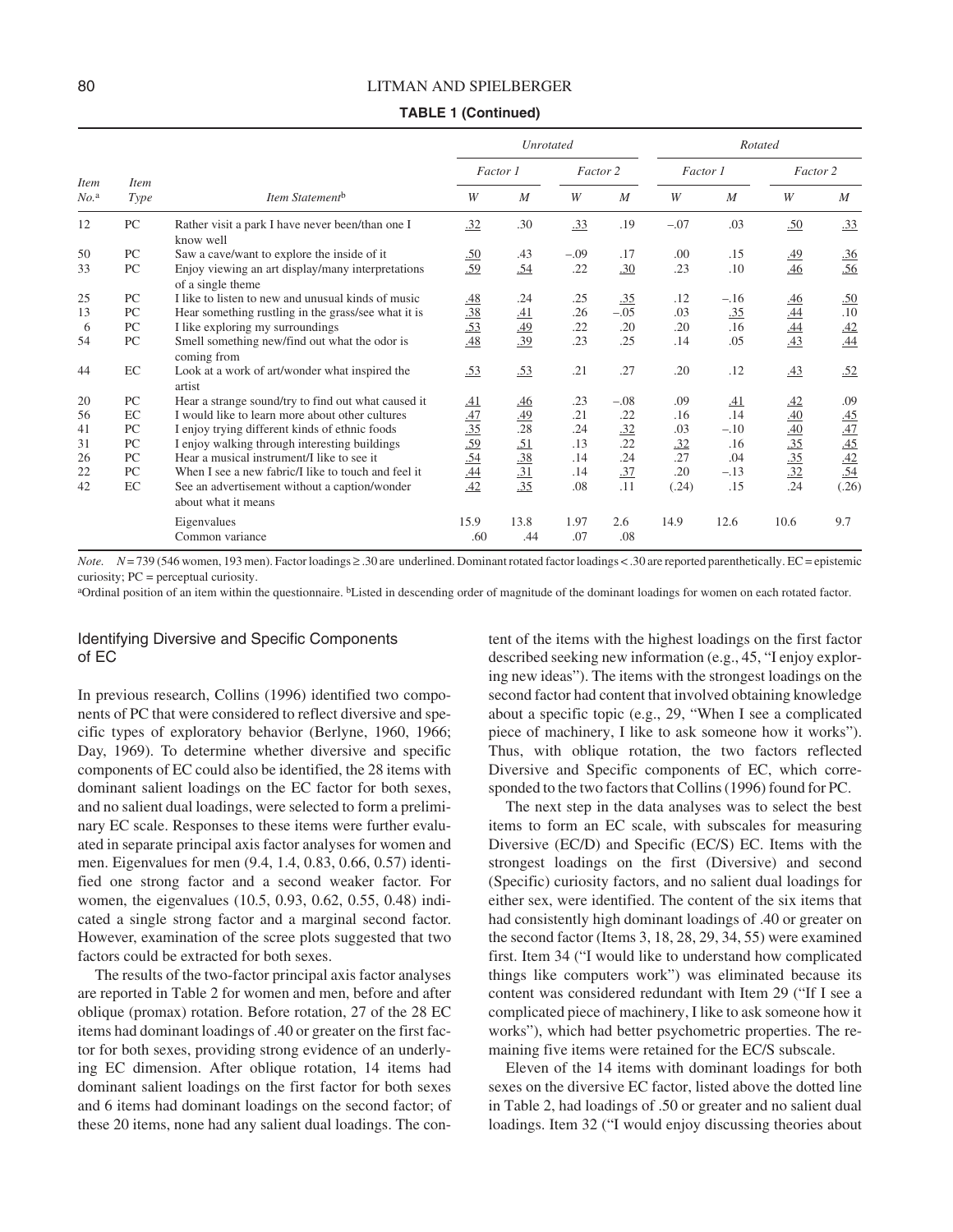#### 80 LITMAN AND SPIELBERGER

|                    |             |                                                                        |                                        | Unrotated        |             |                | Rotated  |        |            |                                     |
|--------------------|-------------|------------------------------------------------------------------------|----------------------------------------|------------------|-------------|----------------|----------|--------|------------|-------------------------------------|
| <b>Item</b>        | <i>Item</i> |                                                                        | Factor 1                               |                  | Factor 2    |                | Factor 1 |        | Factor 2   |                                     |
| $No.$ <sup>a</sup> | Type        | Item Statement <sup>b</sup>                                            | W                                      | $\boldsymbol{M}$ | W           | $\overline{M}$ | W        | M      | W          | $\boldsymbol{M}$                    |
| 12                 | PC          | Rather visit a park I have never been/than one I<br>know well          | .32                                    | .30              | .33         | .19            | $-.07$   | .03    | .50        | .33                                 |
| 50                 | PC          | Saw a cave/want to explore the inside of it                            | .50                                    | .43              | $-.09$      | .17            | .00      | .15    | <u>.49</u> | .36                                 |
| 33                 | PC          | Enjoy viewing an art display/many interpretations<br>of a single theme | .59                                    | .54              | .22         | .30            | .23      | .10    | .46        | .56                                 |
| 25                 | PC.         | I like to listen to new and unusual kinds of music                     | .48                                    | .24              | .25         | .35            | .12      | $-.16$ | .46        | .50                                 |
| 13                 | PC          | Hear something rustling in the grass/see what it is                    | $\frac{.38}{.53}$                      | .41              | .26         | $-.05$         | .03      | .35    | .44        | .10                                 |
| 6                  | PC          | I like exploring my surroundings                                       |                                        | .49              | .22         | .20            | .20      | .16    | .44        | .42                                 |
| 54                 | PC          | Smell something new/find out what the odor is<br>coming from           | .48                                    | .39              | .23         | .25            | .14      | .05    | .43        | .44                                 |
| 44                 | EC          | Look at a work of art/wonder what inspired the<br>artist               | .53                                    | .53              | .21         | .27            | .20      | .12    | <u>.43</u> | .52                                 |
| 20                 | PC          | Hear a strange sound/try to find out what caused it                    | <u>.41</u>                             | .46              | .23         | $-.08$         | .09      | .41    | .42        | .09                                 |
| 56                 | EC          | I would like to learn more about other cultures                        | .47                                    | .49              | .21         | .22            | .16      | .14    | .40        | .45                                 |
| 41                 | PC          | I enjoy trying different kinds of ethnic foods                         |                                        | .28              | .24         | .32            | .03      | $-.10$ | .40        | .47                                 |
| 31                 | PC          | I enjoy walking through interesting buildings                          | $\frac{.35}{.59}$<br>$\frac{.54}{.44}$ | .51              | .13         | .22            | .32      | .16    | .35        | $\frac{45}{142}$<br>$\frac{42}{54}$ |
| 26                 | PC          | Hear a musical instrument/I like to see it                             |                                        | .38              | .14         | .24            | .27      | .04    | .35        |                                     |
| 22                 | PC          | When I see a new fabric/I like to touch and feel it                    |                                        | .31              | .14         | .37            | .20      | $-.13$ | .32        |                                     |
| 42                 | EC          | See an advertisement without a caption/wonder<br>about what it means   | .42                                    | .35              | .08         | .11            | (.24)    | .15    | .24        | (.26)                               |
|                    |             | Eigenvalues<br>Common variance                                         | 15.9<br>.60                            | 13.8<br>.44      | 1.97<br>.07 | 2.6<br>.08     | 14.9     | 12.6   | 10.6       | 9.7                                 |

*Note. N*= 739 (546 women, 193 men). Factor loadings ≥ .30 are underlined. Dominant rotated factor loadings < .30 are reported parenthetically. EC = epistemic curiosity; PC = perceptual curiosity.

aOrdinal position of an item within the questionnaire. <sup>b</sup>Listed in descending order of magnitude of the dominant loadings for women on each rotated factor.

### Identifying Diversive and Specific Components of EC

In previous research, Collins (1996) identified two components of PC that were considered to reflect diversive and specific types of exploratory behavior (Berlyne, 1960, 1966; Day, 1969). To determine whether diversive and specific components of EC could also be identified, the 28 items with dominant salient loadings on the EC factor for both sexes, and no salient dual loadings, were selected to form a preliminary EC scale. Responses to these items were further evaluated in separate principal axis factor analyses for women and men. Eigenvalues for men (9.4, 1.4, 0.83, 0.66, 0.57) identified one strong factor and a second weaker factor. For women, the eigenvalues (10.5, 0.93, 0.62, 0.55, 0.48) indicated a single strong factor and a marginal second factor. However, examination of the scree plots suggested that two factors could be extracted for both sexes.

The results of the two-factor principal axis factor analyses are reported in Table 2 for women and men, before and after oblique (promax) rotation. Before rotation, 27 of the 28 EC items had dominant loadings of .40 or greater on the first factor for both sexes, providing strong evidence of an underlying EC dimension. After oblique rotation, 14 items had dominant salient loadings on the first factor for both sexes and 6 items had dominant loadings on the second factor; of these 20 items, none had any salient dual loadings. The content of the items with the highest loadings on the first factor described seeking new information (e.g., 45, "I enjoy exploring new ideas"). The items with the strongest loadings on the second factor had content that involved obtaining knowledge about a specific topic (e.g., 29, "When I see a complicated piece of machinery, I like to ask someone how it works"). Thus, with oblique rotation, the two factors reflected Diversive and Specific components of EC, which corresponded to the two factors that Collins (1996) found for PC.

The next step in the data analyses was to select the best items to form an EC scale, with subscales for measuring Diversive (EC/D) and Specific (EC/S) EC. Items with the strongest loadings on the first (Diversive) and second (Specific) curiosity factors, and no salient dual loadings for either sex, were identified. The content of the six items that had consistently high dominant loadings of .40 or greater on the second factor (Items 3, 18, 28, 29, 34, 55) were examined first. Item 34 ("I would like to understand how complicated things like computers work") was eliminated because its content was considered redundant with Item 29 ("If I see a complicated piece of machinery, I like to ask someone how it works"), which had better psychometric properties. The remaining five items were retained for the EC/S subscale.

Eleven of the 14 items with dominant loadings for both sexes on the diversive EC factor, listed above the dotted line in Table 2, had loadings of .50 or greater and no salient dual loadings. Item 32 ("I would enjoy discussing theories about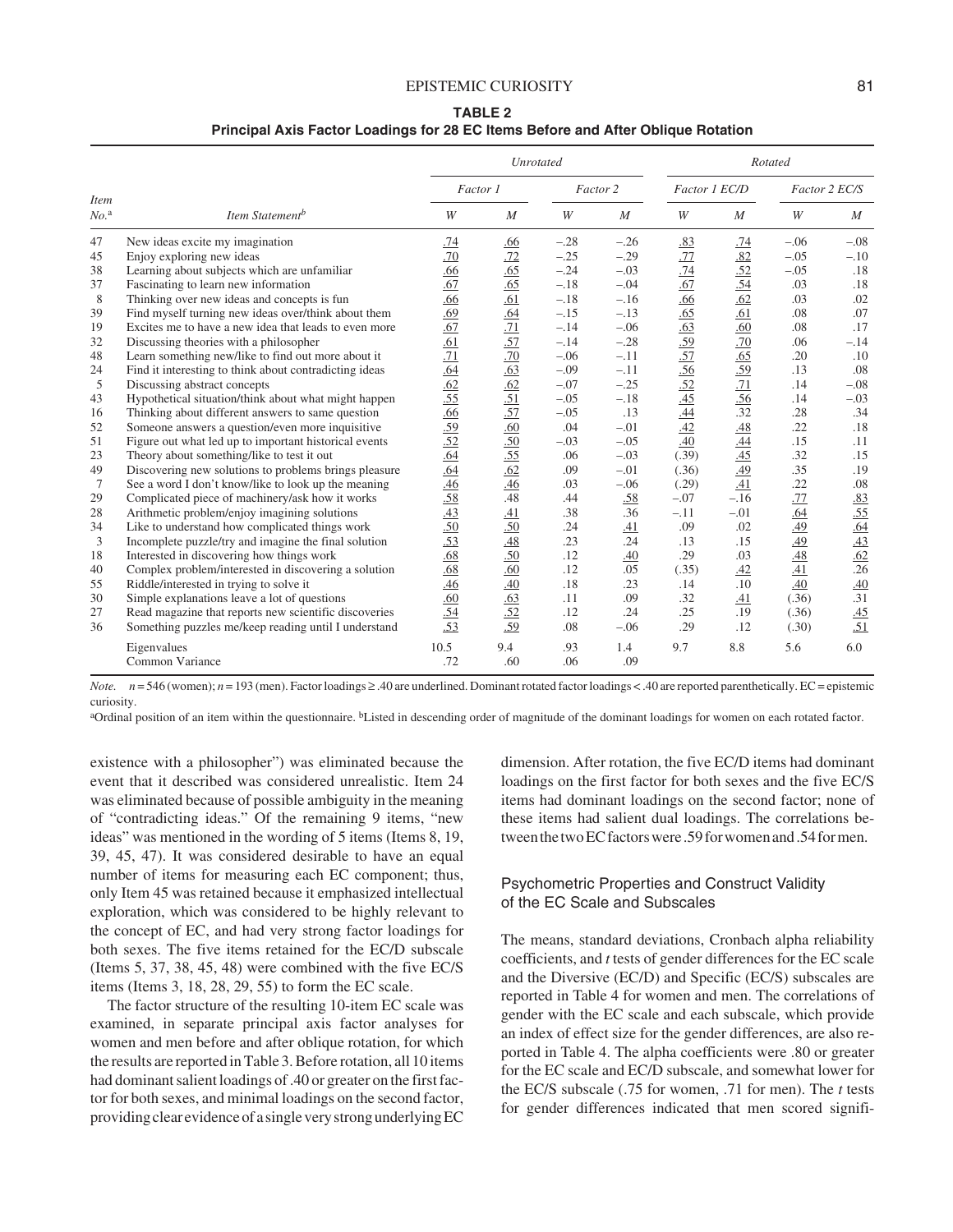#### **TABLE 2**

#### **Principal Axis Factor Loadings for 28 EC Items Before and After Oblique Rotation**

|                  |                                                        |      | Unrotated |        |          | <b>Rotated</b> |                |               |                  |
|------------------|--------------------------------------------------------|------|-----------|--------|----------|----------------|----------------|---------------|------------------|
| <i>Item</i>      |                                                        |      | Factor 1  |        | Factor 2 | Factor 1 EC/D  |                | Factor 2 EC/S |                  |
| No. <sup>a</sup> | Item Statement <sup>b</sup>                            | W    | M         | W      | M        | W              | $\overline{M}$ | W             | $\boldsymbol{M}$ |
| 47               | New ideas excite my imagination                        | .74  | .66       | $-.28$ | $-.26$   | .83            | .74            | $-.06$        | $-.08$           |
| 45               | Enjoy exploring new ideas                              | .70  | .72       | $-.25$ | $-.29$   | .77            | .82            | $-.05$        | $-.10$           |
| 38               | Learning about subjects which are unfamiliar           | .66  | .65       | $-.24$ | $-.03$   | .74            | .52            | $-.05$        | .18              |
| 37               | Fascinating to learn new information                   | .67  | .65       | $-.18$ | $-.04$   | .67            | .54            | .03           | .18              |
| 8                | Thinking over new ideas and concepts is fun            | .66  | .61       | $-.18$ | $-.16$   | .66            | .62            | .03           | .02              |
| 39               | Find myself turning new ideas over/think about them    | .69  | .64       | $-.15$ | $-.13$   | .65            | .61            | .08           | .07              |
| 19               | Excites me to have a new idea that leads to even more  | .67  | .71       | $-.14$ | $-.06$   | .63            | .60            | .08           | .17              |
| 32               | Discussing theories with a philosopher                 | .61  | .57       | $-.14$ | $-.28$   | .59            | .70            | .06           | $-.14$           |
| 48               | Learn something new/like to find out more about it     | .71  | .70       | $-.06$ | $-.11$   | .57            | .65            | .20           | .10              |
| 24               | Find it interesting to think about contradicting ideas | .64  | .63       | $-.09$ | $-.11$   | .56            | .59            | .13           | .08              |
| 5                | Discussing abstract concepts                           | .62  | .62       | $-.07$ | $-.25$   | .52            | .71            | .14           | $-.08$           |
| 43               | Hypothetical situation/think about what might happen   | .55  | .51       | $-.05$ | $-.18$   | .45            | .56            | .14           | $-.03$           |
| 16               | Thinking about different answers to same question      | .66  | .57       | $-.05$ | .13      | .44            | .32            | .28           | .34              |
| 52               | Someone answers a question/even more inquisitive       | .59  | .60       | .04    | $-.01$   | .42            | .48            | .22           | .18              |
| 51               | Figure out what led up to important historical events  | .52  | .50       | $-.03$ | $-.05$   | .40            | .44            | .15           | .11              |
| 23               | Theory about something/like to test it out             | .64  | .55       | .06    | $-.03$   | (.39)          | .45            | .32           | .15              |
| 49               | Discovering new solutions to problems brings pleasure  | .64  | .62       | .09    | $-.01$   | (.36)          | .49            | .35           | .19              |
| 7                | See a word I don't know/like to look up the meaning    | .46  | .46       | .03    | $-.06$   | (.29)          | .41            | .22           | .08              |
| 29               | Complicated piece of machinery/ask how it works        | .58  | .48       | .44    | .58      | $-.07$         | $-.16$         | .77           | .83              |
| 28               | Arithmetic problem/enjoy imagining solutions           | .43  | .41       | .38    | .36      | $-.11$         | $-.01$         | .64           | .55              |
| 34               | Like to understand how complicated things work         | .50  | .50       | .24    | .41      | .09            | .02            | .49           | .64              |
| 3                | Incomplete puzzle/try and imagine the final solution   | .53  | .48       | .23    | .24      | .13            | .15            | .49           | .43              |
| 18               | Interested in discovering how things work              | .68  | .50       | .12    | .40      | .29            | .03            | .48           | .62              |
| 40               | Complex problem/interested in discovering a solution   | .68  | .60       | .12    | .05      | (.35)          | .42            | .41           | .26              |
| 55               | Riddle/interested in trying to solve it                | .46  | .40       | .18    | .23      | .14            | .10            | .40           | .40              |
| 30               | Simple explanations leave a lot of questions           | .60  | .63       | .11    | .09      | .32            | .41            | (.36)         | .31              |
| 27               | Read magazine that reports new scientific discoveries  | .54  | .52       | .12    | .24      | .25            | .19            | (.36)         | .45              |
| 36               | Something puzzles me/keep reading until I understand   | .53  | .59       | .08    | $-.06$   | .29            | .12            | (.30)         | $\overline{.51}$ |
|                  | Eigenvalues                                            | 10.5 | 9.4       | .93    | 1.4      | 9.7            | 8.8            | 5.6           | 6.0              |
|                  | Common Variance                                        | .72  | .60       | .06    | .09      |                |                |               |                  |

*Note.*  $n = 546$  (women);  $n = 193$  (men). Factor loadings ≥ .40 are underlined. Dominant rotated factor loadings < .40 are reported parenthetically. EC = epistemic curiosity.

aOrdinal position of an item within the questionnaire. <sup>b</sup>Listed in descending order of magnitude of the dominant loadings for women on each rotated factor.

existence with a philosopher") was eliminated because the event that it described was considered unrealistic. Item 24 was eliminated because of possible ambiguity in the meaning of "contradicting ideas." Of the remaining 9 items, "new ideas" was mentioned in the wording of 5 items (Items 8, 19, 39, 45, 47). It was considered desirable to have an equal number of items for measuring each EC component; thus, only Item 45 was retained because it emphasized intellectual exploration, which was considered to be highly relevant to the concept of EC, and had very strong factor loadings for both sexes. The five items retained for the EC/D subscale (Items 5, 37, 38, 45, 48) were combined with the five EC/S items (Items 3, 18, 28, 29, 55) to form the EC scale.

The factor structure of the resulting 10-item EC scale was examined, in separate principal axis factor analyses for women and men before and after oblique rotation, for which the results are reported in Table 3. Before rotation, all 10 items had dominant salient loadings of .40 or greater on the first factor for both sexes, and minimal loadings on the second factor, providingclearevidenceofasingleverystrongunderlyingEC

dimension. After rotation, the five EC/D items had dominant loadings on the first factor for both sexes and the five EC/S items had dominant loadings on the second factor; none of these items had salient dual loadings. The correlations betweenthetwoECfactorswere.59forwomenand.54formen.

## Psychometric Properties and Construct Validity of the EC Scale and Subscales

The means, standard deviations, Cronbach alpha reliability coefficients, and *t* tests of gender differences for the EC scale and the Diversive (EC/D) and Specific (EC/S) subscales are reported in Table 4 for women and men. The correlations of gender with the EC scale and each subscale, which provide an index of effect size for the gender differences, are also reported in Table 4. The alpha coefficients were .80 or greater for the EC scale and EC/D subscale, and somewhat lower for the EC/S subscale (.75 for women, .71 for men). The *t* tests for gender differences indicated that men scored signifi-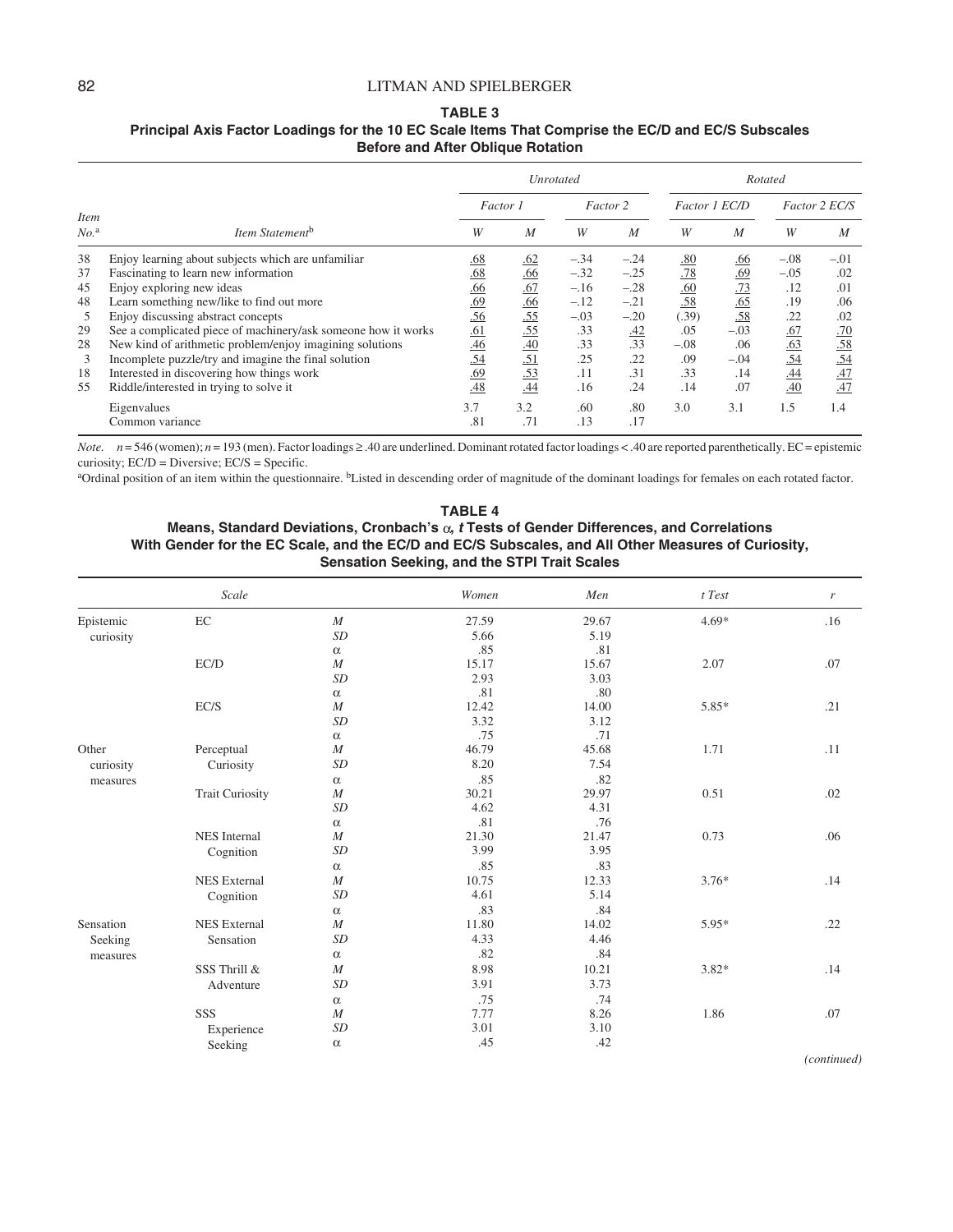#### 82 LITMAN AND SPIELBERGER

## **TABLE 3**

#### **Principal Axis Factor Loadings for the 10 EC Scale Items That Comprise the EC/D and EC/S Subscales Before and After Oblique Rotation**

|                  |                                                               |            |                | <b>Unrotated</b> |                  |               |                  |        |                |
|------------------|---------------------------------------------------------------|------------|----------------|------------------|------------------|---------------|------------------|--------|----------------|
| <b>Item</b>      |                                                               |            | Factor 1       |                  | Factor 2         | Factor 1 EC/D |                  |        | Factor 2 EC/S  |
| No. <sup>a</sup> | Item Statement <sup>b</sup>                                   | W          | $\overline{M}$ | W                | $\boldsymbol{M}$ | W             | $\boldsymbol{M}$ | W      | $\overline{M}$ |
| 38               | Enjoy learning about subjects which are unfamiliar            | <u>.68</u> | <u>.62</u>     | $-.34$           | $-.24$           | <u>.80</u>    | <u>.66</u>       | $-.08$ | $-.01$         |
| 37               | Fascinating to learn new information                          | <u>.68</u> | .66            | $-.32$           | $-.25$           | .78           | .69              | $-.05$ | .02            |
| 45               | Enjoy exploring new ideas                                     | .66        | .67            | $-.16$           | $-.28$           | .60           | .73              | .12    | .01            |
| 48               | Learn something new/like to find out more                     | <u>.69</u> | <u>.66</u>     | $-.12$           | $-.21$           | .58           | .65              | .19    | .06            |
| 5                | Enjoy discussing abstract concepts                            | .56        | .55            | $-.03$           | $-.20$           | (.39)         | .58              | .22    | .02            |
| 29               | See a complicated piece of machinery/ask someone how it works | .61        | .55            | .33              | .42              | .05           | $-.03$           | .67    | .70            |
| 28               | New kind of arithmetic problem/enjoy imagining solutions      | .46        | .40            | .33              | .33              | $-.08$        | .06              | .63    | .58            |
| 3                | Incomplete puzzle/try and imagine the final solution          | .54        | .51            | .25              | .22              | .09           | $-.04$           | .54    | .54            |
| 18               | Interested in discovering how things work                     | <u>.69</u> | .53            | .11              | .31              | .33           | .14              | .44    | .47            |
| 55               | Riddle/interested in trying to solve it                       | .48        | .44            | .16              | .24              | .14           | .07              | .40    | .47            |
|                  | Eigenvalues                                                   | 3.7        | 3.2            | .60              | .80              | 3.0           | 3.1              | 1.5    | 1.4            |
|                  | Common variance                                               | .81        | .71            | .13              | .17              |               |                  |        |                |

*Note.*  $n = 546$  (women);  $n = 193$  (men). Factor loadings ≥ .40 are underlined. Dominant rotated factor loadings < .40 are reported parenthetically. EC = epistemic curiosity; EC/D = Diversive; EC/S = Specific.

<sup>a</sup>Ordinal position of an item within the questionnaire. <sup>b</sup>Listed in descending order of magnitude of the dominant loadings for females on each rotated factor.

### **TABLE 4 Means, Standard Deviations, Cronbach's , <sup>t</sup> Tests of Gender Differences, and Correlations With Gender for the EC Scale, and the EC/D and EC/S Subscales, and All Other Measures of Curiosity, Sensation Seeking, and the STPI Trait Scales**

|           | Scale                  |                  | Women | Men   | t Test  | $\boldsymbol{r}$ |
|-----------|------------------------|------------------|-------|-------|---------|------------------|
| Epistemic | $\rm EC$               | M                | 27.59 | 29.67 | $4.69*$ | .16              |
| curiosity |                        | SD               | 5.66  | 5.19  |         |                  |
|           |                        | $\alpha$         | .85   | .81   |         |                  |
|           | EC/D                   | M                | 15.17 | 15.67 | 2.07    | .07              |
|           |                        | SD               | 2.93  | 3.03  |         |                  |
|           |                        | $\alpha$         | .81   | .80   |         |                  |
|           | EC/S                   | M                | 12.42 | 14.00 | 5.85*   | .21              |
|           |                        | SD               | 3.32  | 3.12  |         |                  |
|           |                        | $\alpha$         | .75   | .71   |         |                  |
| Other     | Perceptual             | $\boldsymbol{M}$ | 46.79 | 45.68 | 1.71    | .11              |
| curiosity | Curiosity              | SD               | 8.20  | 7.54  |         |                  |
| measures  |                        | $\alpha$         | .85   | .82   |         |                  |
|           | <b>Trait Curiosity</b> | M                | 30.21 | 29.97 | 0.51    | .02              |
|           |                        | SD               | 4.62  | 4.31  |         |                  |
|           |                        | $\alpha$         | .81   | .76   |         |                  |
|           | <b>NES</b> Internal    | $\boldsymbol{M}$ | 21.30 | 21.47 | 0.73    | .06              |
|           | Cognition              | SD               | 3.99  | 3.95  |         |                  |
|           |                        | $\alpha$         | .85   | .83   |         |                  |
|           | <b>NES</b> External    | $\boldsymbol{M}$ | 10.75 | 12.33 | $3.76*$ | .14              |
|           | Cognition              | $\cal SD$        | 4.61  | 5.14  |         |                  |
|           |                        | $\alpha$         | .83   | .84   |         |                  |
| Sensation | <b>NES</b> External    | M                | 11.80 | 14.02 | 5.95*   | .22              |
| Seeking   | Sensation              | SD               | 4.33  | 4.46  |         |                  |
| measures  |                        | $\alpha$         | .82   | .84   |         |                  |
|           | SSS Thrill &           | M                | 8.98  | 10.21 | $3.82*$ | .14              |
|           | Adventure              | SD               | 3.91  | 3.73  |         |                  |
|           |                        | $\alpha$         | .75   | .74   |         |                  |
|           | SSS                    | $\boldsymbol{M}$ | 7.77  | 8.26  | 1.86    | .07              |
|           | Experience             | $\cal SD$        | 3.01  | 3.10  |         |                  |
|           | Seeking                | $\alpha$         | .45   | .42   |         |                  |

*(continued)*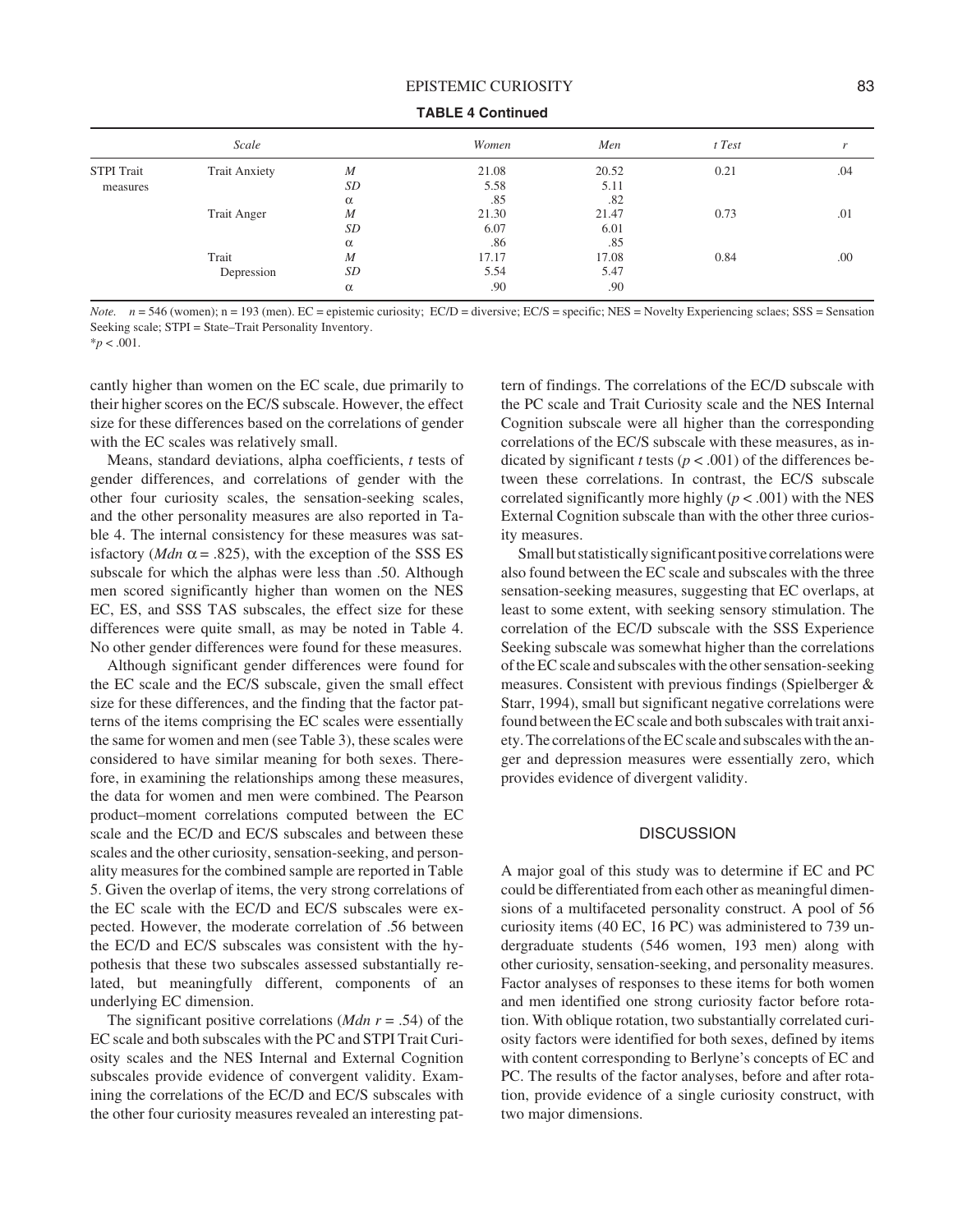|                               | Scale                |                                    | Women                | Men                  | t Test |     |
|-------------------------------|----------------------|------------------------------------|----------------------|----------------------|--------|-----|
| <b>STPI Trait</b><br>measures | <b>Trait Anxiety</b> | $\boldsymbol{M}$<br>SD             | 21.08<br>5.58        | 20.52<br>5.11        | 0.21   | .04 |
|                               | <b>Trait Anger</b>   | $\alpha$<br>$\boldsymbol{M}$<br>SD | .85<br>21.30<br>6.07 | .82<br>21.47<br>6.01 | 0.73   | .01 |
|                               | Trait<br>Depression  | $\alpha$<br>$\boldsymbol{M}$<br>SD | .86<br>17.17<br>5.54 | .85<br>17.08<br>5.47 | 0.84   | .00 |
|                               |                      | $\alpha$                           | .90                  | .90                  |        |     |

**TABLE 4 Continued**

*Note.*  $n = 546$  (women);  $n = 193$  (men). EC = epistemic curiosity; EC/D = diversive; EC/S = specific; NES = Novelty Experiencing sclaes; SSS = Sensation Seeking scale; STPI = State–Trait Personality Inventory.

\**p* < .001.

cantly higher than women on the EC scale, due primarily to their higher scores on the EC/S subscale. However, the effect size for these differences based on the correlations of gender with the EC scales was relatively small.

Means, standard deviations, alpha coefficients, *t* tests of gender differences, and correlations of gender with the other four curiosity scales, the sensation-seeking scales, and the other personality measures are also reported in Table 4. The internal consistency for these measures was satisfactory (*Mdn*  $\alpha$  = .825), with the exception of the SSS ES subscale for which the alphas were less than .50. Although men scored significantly higher than women on the NES EC, ES, and SSS TAS subscales, the effect size for these differences were quite small, as may be noted in Table 4. No other gender differences were found for these measures.

Although significant gender differences were found for the EC scale and the EC/S subscale, given the small effect size for these differences, and the finding that the factor patterns of the items comprising the EC scales were essentially the same for women and men (see Table 3), these scales were considered to have similar meaning for both sexes. Therefore, in examining the relationships among these measures, the data for women and men were combined. The Pearson product–moment correlations computed between the EC scale and the EC/D and EC/S subscales and between these scales and the other curiosity, sensation-seeking, and personality measures for the combined sample are reported in Table 5. Given the overlap of items, the very strong correlations of the EC scale with the EC/D and EC/S subscales were expected. However, the moderate correlation of .56 between the EC/D and EC/S subscales was consistent with the hypothesis that these two subscales assessed substantially related, but meaningfully different, components of an underlying EC dimension.

The significant positive correlations (*Mdn r* = .54) of the EC scale and both subscales with the PC and STPI Trait Curiosity scales and the NES Internal and External Cognition subscales provide evidence of convergent validity. Examining the correlations of the EC/D and EC/S subscales with the other four curiosity measures revealed an interesting pattern of findings. The correlations of the EC/D subscale with the PC scale and Trait Curiosity scale and the NES Internal Cognition subscale were all higher than the corresponding correlations of the EC/S subscale with these measures, as indicated by significant *t* tests ( $p < .001$ ) of the differences between these correlations. In contrast, the EC/S subscale correlated significantly more highly  $(p < .001)$  with the NES External Cognition subscale than with the other three curiosity measures.

Small but statistically significant positive correlations were also found between the EC scale and subscales with the three sensation-seeking measures, suggesting that EC overlaps, at least to some extent, with seeking sensory stimulation. The correlation of the EC/D subscale with the SSS Experience Seeking subscale was somewhat higher than the correlations of the EC scale and subscales with the other sensation-seeking measures. Consistent with previous findings (Spielberger & Starr, 1994), small but significant negative correlations were found between the EC scale and both subscales with trait anxiety. The correlations of the EC scale and subscales with the anger and depression measures were essentially zero, which provides evidence of divergent validity.

#### **DISCUSSION**

A major goal of this study was to determine if EC and PC could be differentiated from each other as meaningful dimensions of a multifaceted personality construct. A pool of 56 curiosity items (40 EC, 16 PC) was administered to 739 undergraduate students (546 women, 193 men) along with other curiosity, sensation-seeking, and personality measures. Factor analyses of responses to these items for both women and men identified one strong curiosity factor before rotation. With oblique rotation, two substantially correlated curiosity factors were identified for both sexes, defined by items with content corresponding to Berlyne's concepts of EC and PC. The results of the factor analyses, before and after rotation, provide evidence of a single curiosity construct, with two major dimensions.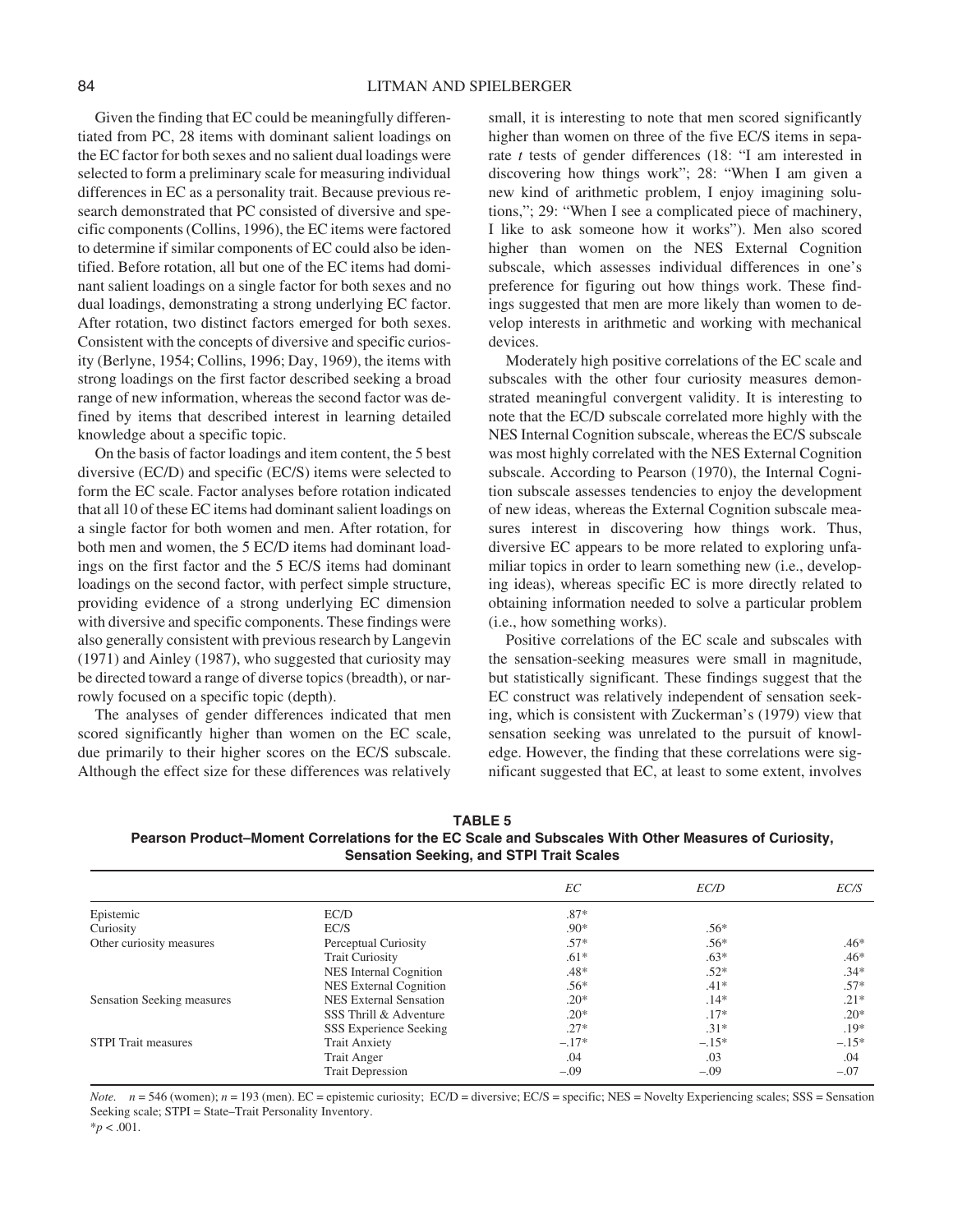Given the finding that EC could be meaningfully differentiated from PC, 28 items with dominant salient loadings on the EC factor for both sexes and no salient dual loadings were selected to form a preliminary scale for measuring individual differences in EC as a personality trait. Because previous research demonstrated that PC consisted of diversive and specific components (Collins, 1996), the EC items were factored to determine if similar components of EC could also be identified. Before rotation, all but one of the EC items had dominant salient loadings on a single factor for both sexes and no dual loadings, demonstrating a strong underlying EC factor. After rotation, two distinct factors emerged for both sexes. Consistent with the concepts of diversive and specific curiosity (Berlyne, 1954; Collins, 1996; Day, 1969), the items with strong loadings on the first factor described seeking a broad range of new information, whereas the second factor was defined by items that described interest in learning detailed knowledge about a specific topic.

On the basis of factor loadings and item content, the 5 best diversive (EC/D) and specific (EC/S) items were selected to form the EC scale. Factor analyses before rotation indicated that all 10 of these EC items had dominant salient loadings on a single factor for both women and men. After rotation, for both men and women, the 5 EC/D items had dominant loadings on the first factor and the 5 EC/S items had dominant loadings on the second factor, with perfect simple structure, providing evidence of a strong underlying EC dimension with diversive and specific components. These findings were also generally consistent with previous research by Langevin (1971) and Ainley (1987), who suggested that curiosity may be directed toward a range of diverse topics (breadth), or narrowly focused on a specific topic (depth).

The analyses of gender differences indicated that men scored significantly higher than women on the EC scale, due primarily to their higher scores on the EC/S subscale. Although the effect size for these differences was relatively

small, it is interesting to note that men scored significantly higher than women on three of the five EC/S items in separate *t* tests of gender differences (18: "I am interested in discovering how things work"; 28: "When I am given a new kind of arithmetic problem, I enjoy imagining solutions,"; 29: "When I see a complicated piece of machinery, I like to ask someone how it works"). Men also scored higher than women on the NES External Cognition subscale, which assesses individual differences in one's preference for figuring out how things work. These findings suggested that men are more likely than women to develop interests in arithmetic and working with mechanical devices.

Moderately high positive correlations of the EC scale and subscales with the other four curiosity measures demonstrated meaningful convergent validity. It is interesting to note that the EC/D subscale correlated more highly with the NES Internal Cognition subscale, whereas the EC/S subscale was most highly correlated with the NES External Cognition subscale. According to Pearson (1970), the Internal Cognition subscale assesses tendencies to enjoy the development of new ideas, whereas the External Cognition subscale measures interest in discovering how things work. Thus, diversive EC appears to be more related to exploring unfamiliar topics in order to learn something new (i.e., developing ideas), whereas specific EC is more directly related to obtaining information needed to solve a particular problem (i.e., how something works).

Positive correlations of the EC scale and subscales with the sensation-seeking measures were small in magnitude, but statistically significant. These findings suggest that the EC construct was relatively independent of sensation seeking, which is consistent with Zuckerman's (1979) view that sensation seeking was unrelated to the pursuit of knowledge. However, the finding that these correlations were significant suggested that EC, at least to some extent, involves

| <b>TABLE 5</b>                                                                                       |
|------------------------------------------------------------------------------------------------------|
| Pearson Product–Moment Correlations for the EC Scale and Subscales With Other Measures of Curiosity, |
| <b>Sensation Seeking, and STPI Trait Scales</b>                                                      |

|                            |                               | ЕC      | EC/D    | EC/S    |
|----------------------------|-------------------------------|---------|---------|---------|
| Epistemic                  | EC/D                          | $.87*$  |         |         |
| Curiosity                  | EC/S                          | $.90*$  | $.56*$  |         |
| Other curiosity measures   | Perceptual Curiosity          | $.57*$  | $.56*$  | $.46*$  |
|                            | <b>Trait Curiosity</b>        | $.61*$  | $.63*$  | $.46*$  |
|                            | NES Internal Cognition        | $.48*$  | $.52*$  | $.34*$  |
|                            | NES External Cognition        | $.56*$  | $.41*$  | $.57*$  |
| Sensation Seeking measures | <b>NES External Sensation</b> | $.20*$  | $.14*$  | $.21*$  |
|                            | SSS Thrill & Adventure        | $.20*$  | $.17*$  | $.20*$  |
|                            | SSS Experience Seeking        | $.27*$  | $.31*$  | $.19*$  |
| <b>STPI</b> Trait measures | <b>Trait Anxiety</b>          | $-.17*$ | $-.15*$ | $-.15*$ |
|                            | <b>Trait Anger</b>            | .04     | .03     | .04     |
|                            | <b>Trait Depression</b>       | $-.09$  | $-.09$  | $-.07$  |

*Note.*  $n = 546$  (women);  $n = 193$  (men). EC = epistemic curiosity; EC/D = diversive; EC/S = specific; NES = Novelty Experiencing scales; SSS = Sensation Seeking scale; STPI = State–Trait Personality Inventory.  $*$ *p* < .001.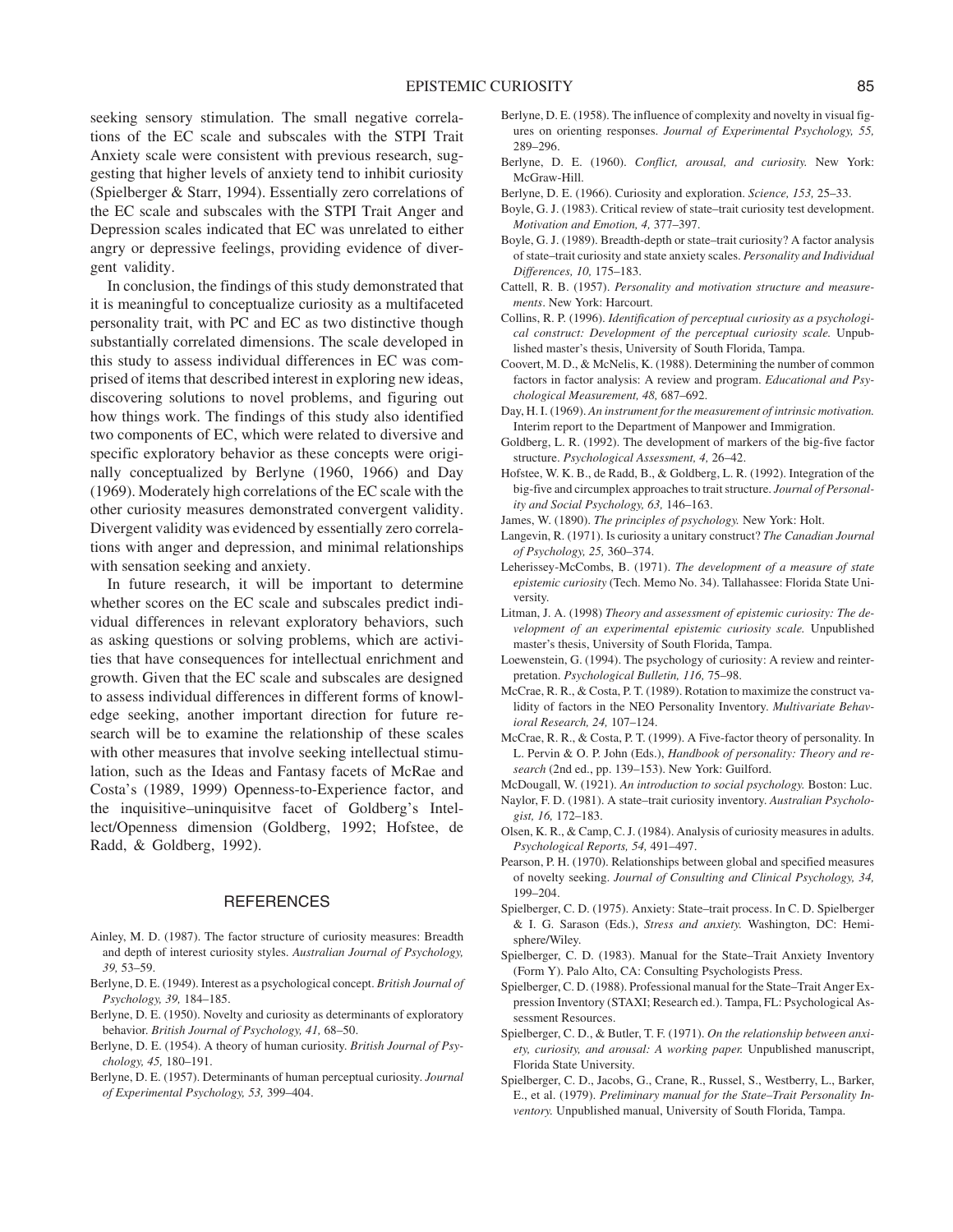seeking sensory stimulation. The small negative correlations of the EC scale and subscales with the STPI Trait Anxiety scale were consistent with previous research, suggesting that higher levels of anxiety tend to inhibit curiosity (Spielberger & Starr, 1994). Essentially zero correlations of the EC scale and subscales with the STPI Trait Anger and Depression scales indicated that EC was unrelated to either angry or depressive feelings, providing evidence of divergent validity.

In conclusion, the findings of this study demonstrated that it is meaningful to conceptualize curiosity as a multifaceted personality trait, with PC and EC as two distinctive though substantially correlated dimensions. The scale developed in this study to assess individual differences in EC was comprised of items that described interest in exploring new ideas, discovering solutions to novel problems, and figuring out how things work. The findings of this study also identified two components of EC, which were related to diversive and specific exploratory behavior as these concepts were originally conceptualized by Berlyne (1960, 1966) and Day (1969). Moderately high correlations of the EC scale with the other curiosity measures demonstrated convergent validity. Divergent validity was evidenced by essentially zero correlations with anger and depression, and minimal relationships with sensation seeking and anxiety.

In future research, it will be important to determine whether scores on the EC scale and subscales predict individual differences in relevant exploratory behaviors, such as asking questions or solving problems, which are activities that have consequences for intellectual enrichment and growth. Given that the EC scale and subscales are designed to assess individual differences in different forms of knowledge seeking, another important direction for future research will be to examine the relationship of these scales with other measures that involve seeking intellectual stimulation, such as the Ideas and Fantasy facets of McRae and Costa's (1989, 1999) Openness-to-Experience factor, and the inquisitive–uninquisitve facet of Goldberg's Intellect/Openness dimension (Goldberg, 1992; Hofstee, de Radd, & Goldberg, 1992).

#### **REFERENCES**

- Ainley, M. D. (1987). The factor structure of curiosity measures: Breadth and depth of interest curiosity styles. *Australian Journal of Psychology, 39,* 53–59.
- Berlyne, D. E. (1949). Interest as a psychological concept. *British Journal of Psychology, 39,* 184–185.
- Berlyne, D. E. (1950). Novelty and curiosity as determinants of exploratory behavior. *British Journal of Psychology, 41,* 68–50.
- Berlyne, D. E. (1954). A theory of human curiosity. *British Journal of Psychology, 45,* 180–191.
- Berlyne, D. E. (1957). Determinants of human perceptual curiosity. *Journal of Experimental Psychology, 53,* 399–404.
- Berlyne, D. E. (1958). The influence of complexity and novelty in visual figures on orienting responses. *Journal of Experimental Psychology, 55,* 289–296.
- Berlyne, D. E. (1960). *Conflict, arousal, and curiosity.* New York: McGraw-Hill.
- Berlyne, D. E. (1966). Curiosity and exploration. *Science, 153,* 25–33.
- Boyle, G. J. (1983). Critical review of state–trait curiosity test development. *Motivation and Emotion, 4,* 377–397.
- Boyle, G. J. (1989). Breadth-depth or state–trait curiosity? A factor analysis of state–trait curiosity and state anxiety scales. *Personality and Individual Differences, 10,* 175–183.
- Cattell, R. B. (1957). *Personality and motivation structure and measurements*. New York: Harcourt.
- Collins, R. P. (1996). *Identification of perceptual curiosity as a psychological construct: Development of the perceptual curiosity scale.* Unpublished master's thesis, University of South Florida, Tampa.
- Coovert, M. D., & McNelis, K. (1988). Determining the number of common factors in factor analysis: A review and program. *Educational and Psychological Measurement, 48,* 687–692.
- Day, H. I. (1969). *An instrument for the measurement of intrinsic motivation.* Interim report to the Department of Manpower and Immigration.
- Goldberg, L. R. (1992). The development of markers of the big-five factor structure. *Psychological Assessment, 4,* 26–42.
- Hofstee, W. K. B., de Radd, B., & Goldberg, L. R. (1992). Integration of the big-five and circumplex approaches to trait structure. *Journal of Personality and Social Psychology, 63,* 146–163.
- James, W. (1890). *The principles of psychology.* New York: Holt.
- Langevin, R. (1971). Is curiosity a unitary construct? *The Canadian Journal of Psychology, 25,* 360–374.
- Leherissey-McCombs, B. (1971). *The development of a measure of state epistemic curiosity* (Tech. Memo No. 34). Tallahassee: Florida State University.
- Litman, J. A. (1998) *Theory and assessment of epistemic curiosity: The development of an experimental epistemic curiosity scale.* Unpublished master's thesis, University of South Florida, Tampa.
- Loewenstein, G. (1994). The psychology of curiosity: A review and reinterpretation. *Psychological Bulletin, 116,* 75–98.
- McCrae, R. R., & Costa, P. T. (1989). Rotation to maximize the construct validity of factors in the NEO Personality Inventory. *Multivariate Behavioral Research, 24,* 107–124.
- McCrae, R. R., & Costa, P. T. (1999). A Five-factor theory of personality. In L. Pervin & O. P. John (Eds.), *Handbook of personality: Theory and research* (2nd ed., pp. 139–153). New York: Guilford.
- McDougall, W. (1921). *An introduction to social psychology.* Boston: Luc.
- Naylor, F. D. (1981). A state–trait curiosity inventory. *Australian Psychologist, 16,* 172–183.
- Olsen, K. R., & Camp, C. J. (1984). Analysis of curiosity measures in adults. *Psychological Reports, 54,* 491–497.
- Pearson, P. H. (1970). Relationships between global and specified measures of novelty seeking. *Journal of Consulting and Clinical Psychology, 34,* 199–204.
- Spielberger, C. D. (1975). Anxiety: State–trait process. In C. D. Spielberger & I. G. Sarason (Eds.), *Stress and anxiety.* Washington, DC: Hemisphere/Wiley.
- Spielberger, C. D. (1983). Manual for the State–Trait Anxiety Inventory (Form Y). Palo Alto, CA: Consulting Psychologists Press.
- Spielberger, C. D. (1988). Professional manual for the State–Trait Anger Expression Inventory (STAXI; Research ed.). Tampa, FL: Psychological Assessment Resources.
- Spielberger, C. D., & Butler, T. F. (1971). *On the relationship between anxiety, curiosity, and arousal: A working paper.* Unpublished manuscript, Florida State University.
- Spielberger, C. D., Jacobs, G., Crane, R., Russel, S., Westberry, L., Barker, E., et al. (1979). *Preliminary manual for the State–Trait Personality Inventory.* Unpublished manual, University of South Florida, Tampa.